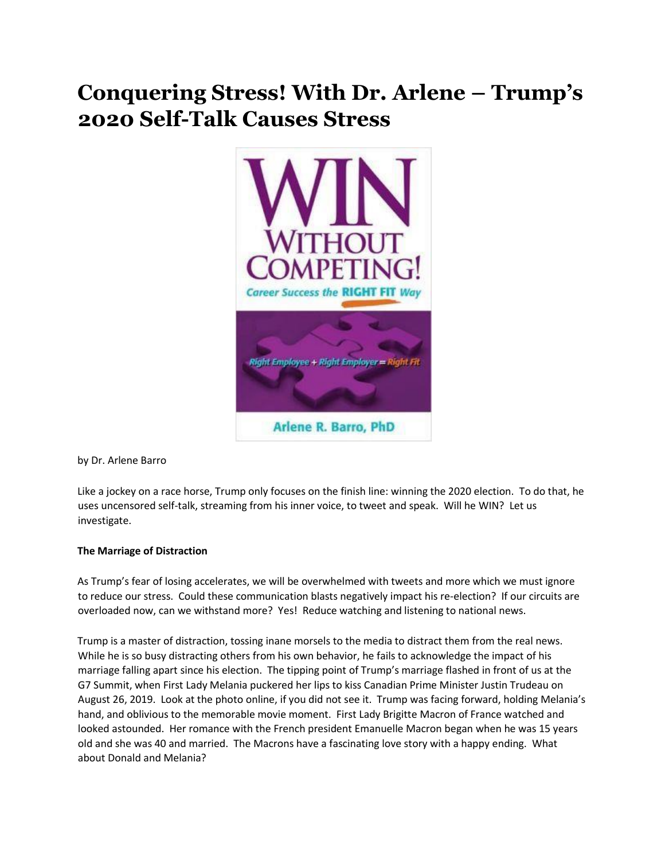# **Conquering Stress! With Dr. Arlene – Trump's 2020 Self-Talk Causes Stress**



by Dr. Arlene Barro

Like a jockey on a race horse, Trump only focuses on the finish line: winning the 2020 election. To do that, he uses uncensored self-talk, streaming from his inner voice, to tweet and speak. Will he WIN? Let us investigate.

# **The Marriage of Distraction**

As Trump's fear of losing accelerates, we will be overwhelmed with tweets and more which we must ignore to reduce our stress. Could these communication blasts negatively impact his re-election? If our circuits are overloaded now, can we withstand more? Yes! Reduce watching and listening to national news.

Trump is a master of distraction, tossing inane morsels to the media to distract them from the real news. While he is so busy distracting others from his own behavior, he fails to acknowledge the impact of his marriage falling apart since his election. The tipping point of Trump's marriage flashed in front of us at the G7 Summit, when First Lady Melania puckered her lips to kiss Canadian Prime Minister Justin Trudeau on August 26, 2019. Look at the photo online, if you did not see it. Trump was facing forward, holding Melania's hand, and oblivious to the memorable movie moment. First Lady Brigitte Macron of France watched and looked astounded. Her romance with the French president Emanuelle Macron began when he was 15 years old and she was 40 and married. The Macrons have a fascinating love story with a happy ending. What about Donald and Melania?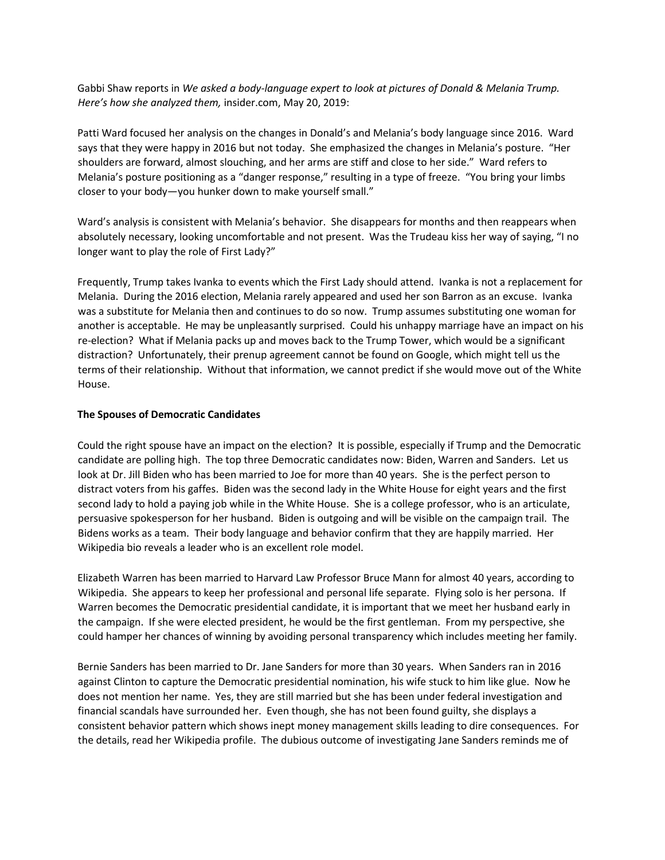Gabbi Shaw reports in *We asked a body-language expert to look at pictures of Donald & Melania Trump. Here's how she analyzed them,* insider.com, May 20, 2019:

Patti Ward focused her analysis on the changes in Donald's and Melania's body language since 2016. Ward says that they were happy in 2016 but not today. She emphasized the changes in Melania's posture. "Her shoulders are forward, almost slouching, and her arms are stiff and close to her side." Ward refers to Melania's posture positioning as a "danger response," resulting in a type of freeze. "You bring your limbs closer to your body—you hunker down to make yourself small."

Ward's analysis is consistent with Melania's behavior. She disappears for months and then reappears when absolutely necessary, looking uncomfortable and not present. Was the Trudeau kiss her way of saying, "I no longer want to play the role of First Lady?"

Frequently, Trump takes Ivanka to events which the First Lady should attend. Ivanka is not a replacement for Melania. During the 2016 election, Melania rarely appeared and used her son Barron as an excuse. Ivanka was a substitute for Melania then and continues to do so now. Trump assumes substituting one woman for another is acceptable. He may be unpleasantly surprised. Could his unhappy marriage have an impact on his re-election? What if Melania packs up and moves back to the Trump Tower, which would be a significant distraction? Unfortunately, their prenup agreement cannot be found on Google, which might tell us the terms of their relationship. Without that information, we cannot predict if she would move out of the White House.

#### **The Spouses of Democratic Candidates**

Could the right spouse have an impact on the election? It is possible, especially if Trump and the Democratic candidate are polling high. The top three Democratic candidates now: Biden, Warren and Sanders. Let us look at Dr. Jill Biden who has been married to Joe for more than 40 years. She is the perfect person to distract voters from his gaffes. Biden was the second lady in the White House for eight years and the first second lady to hold a paying job while in the White House. She is a college professor, who is an articulate, persuasive spokesperson for her husband. Biden is outgoing and will be visible on the campaign trail. The Bidens works as a team. Their body language and behavior confirm that they are happily married. Her Wikipedia bio reveals a leader who is an excellent role model.

Elizabeth Warren has been married to Harvard Law Professor Bruce Mann for almost 40 years, according to Wikipedia. She appears to keep her professional and personal life separate. Flying solo is her persona. If Warren becomes the Democratic presidential candidate, it is important that we meet her husband early in the campaign. If she were elected president, he would be the first gentleman. From my perspective, she could hamper her chances of winning by avoiding personal transparency which includes meeting her family.

Bernie Sanders has been married to Dr. Jane Sanders for more than 30 years. When Sanders ran in 2016 against Clinton to capture the Democratic presidential nomination, his wife stuck to him like glue. Now he does not mention her name. Yes, they are still married but she has been under federal investigation and financial scandals have surrounded her. Even though, she has not been found guilty, she displays a consistent behavior pattern which shows inept money management skills leading to dire consequences. For the details, read her Wikipedia profile. The dubious outcome of investigating Jane Sanders reminds me of